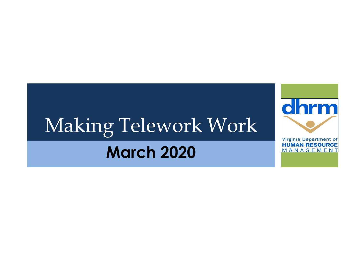## Making Telework Work **March 2020**

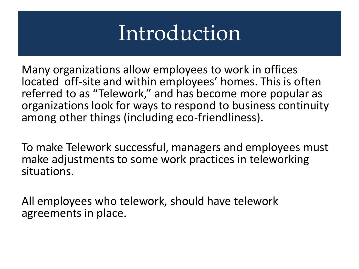### Introduction

Many organizations allow employees to work in offices located off-site and within employees' homes. This is often referred to as "Telework," and has become more popular as organizations look for ways to respond to business continuity among other things (including eco-friendliness).

To make Telework successful, managers and employees must make adjustments to some work practices in teleworking situations.

All employees who telework, should have telework agreements in place.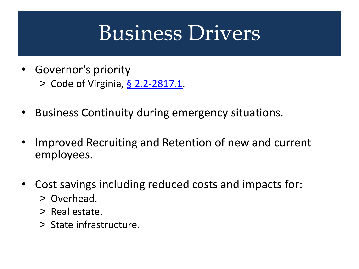### Business Drivers

- Governor's priority > Code of Virginia, § [2.2-2817.1](https://law.lis.virginia.gov/vacode/title2.2/chapter28/section2.2-2817.1/).
- Business Continuity during emergency situations.
- Improved Recruiting and Retention of new and current employees.
- Cost savings including reduced costs and impacts for:
	- > Overhead.
	- > Real estate.
	- > State infrastructure.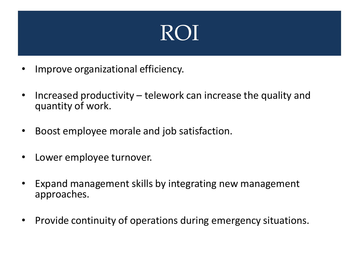### ROI

- Improve organizational efficiency.
- Increased productivity telework can increase the quality and quantity of work.
- Boost employee morale and job satisfaction.
- Lower employee turnover.
- Expand management skills by integrating new management approaches.
- Provide continuity of operations during emergency situations.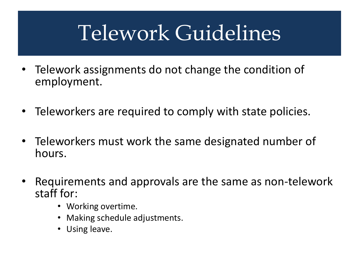## Telework Guidelines

- Telework assignments do not change the condition of employment.
- Teleworkers are required to comply with state policies.
- Teleworkers must work the same designated number of hours.
- Requirements and approvals are the same as non-telework staff for:
	- Working overtime.
	- Making schedule adjustments.
	- Using leave.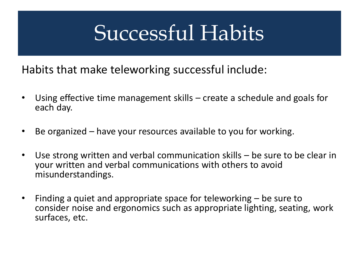### Successful Habits

Habits that make teleworking successful include:

- Using effective time management skills create a schedule and goals for each day.
- Be organized have your resources available to you for working.
- Use strong written and verbal communication skills be sure to be clear in your written and verbal communications with others to avoid misunderstandings.
- Finding a quiet and appropriate space for teleworking be sure to consider noise and ergonomics such as appropriate lighting, seating, work surfaces, etc.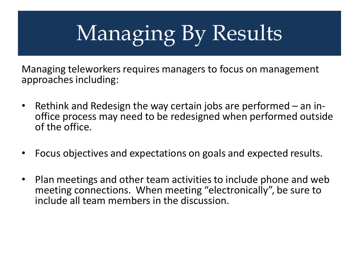# Managing By Results

Managing teleworkers requires managers to focus on management approaches including:

- Rethink and Redesign the way certain jobs are performed an inoffice process may need to be redesigned when performed outside of the office.
- Focus objectives and expectations on goals and expected results.
- Plan meetings and other team activities to include phone and web meeting connections. When meeting "electronically", be sure to include all team members in the discussion.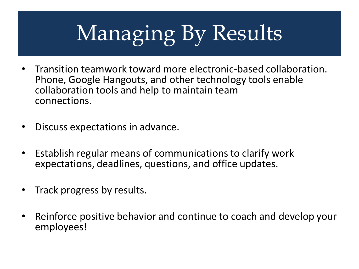# Managing By Results

- Transition teamwork toward more electronic-based collaboration. Phone, Google Hangouts, and other technology tools enable collaboration tools and help to maintain team connections.
- Discuss expectations in advance.
- Establish regular means of communications to clarify work expectations, deadlines, questions, and office updates.
- Track progress by results.
- Reinforce positive behavior and continue to coach and develop your employees!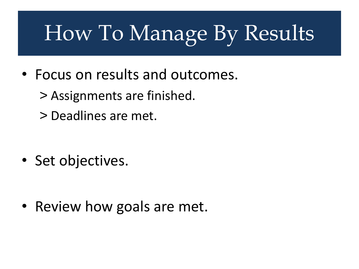## How To Manage By Results

- Focus on results and outcomes.
	- > Assignments are finished.
	- > Deadlines are met.

• Set objectives.

• Review how goals are met.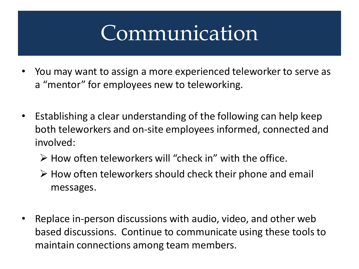### Communication

- You may want to assign a more experienced teleworker to serve as a "mentor" for employees new to teleworking.
- Establishing a clear understanding of the following can help keep both teleworkers and on-site employees informed, connected and involved:
	- $\triangleright$  How often teleworkers will "check in" with the office.
	- $\triangleright$  How often teleworkers should check their phone and email messages.
- Replace in-person discussions with audio, video, and other web based discussions. Continue to communicate using these tools to maintain connections among team members.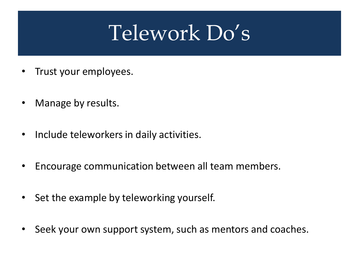### Telework Do's

- Trust your employees.
- Manage by results.
- Include teleworkers in daily activities.
- Encourage communication between all team members.
- Set the example by teleworking yourself.
- Seek your own support system, such as mentors and coaches.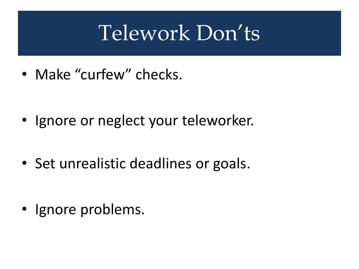## Telework Don'ts

• Make "curfew" checks.

- Ignore or neglect your teleworker.
- Set unrealistic deadlines or goals.

• Ignore problems.